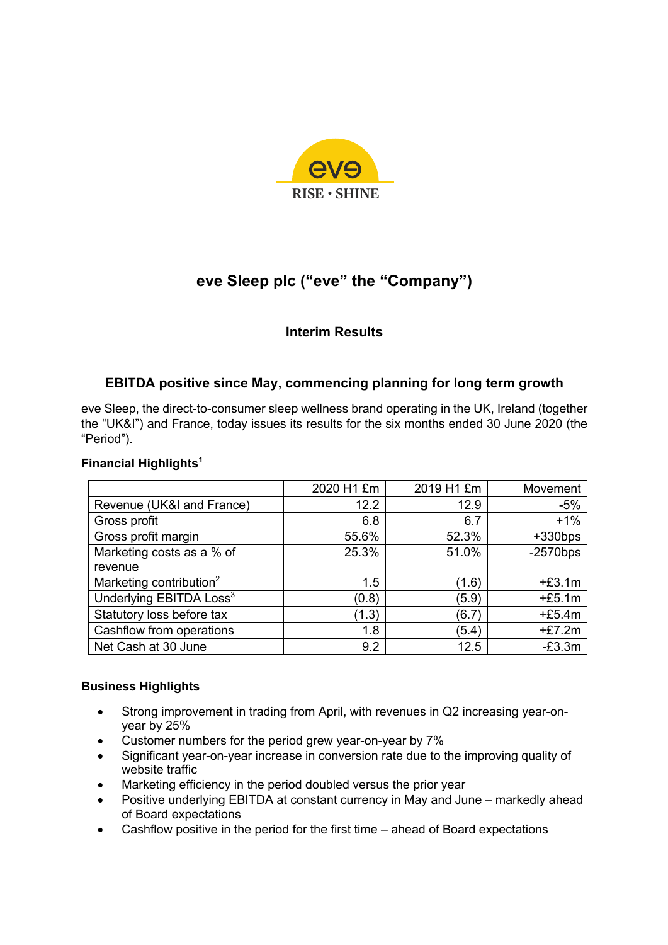

# **eve Sleep plc ("eve" the "Company")**

# **Interim Results**

# **EBITDA positive since May, commencing planning for long term growth**

eve Sleep, the direct-to-consumer sleep wellness brand operating in the UK, Ireland (together the "UK&I") and France, today issues its results for the six months ended 30 June 2020 (the "Period").

## **Financial Highlights1**

|                                     | 2020 H1 £m | 2019 H1 £m | Movement    |
|-------------------------------------|------------|------------|-------------|
| Revenue (UK&I and France)           | 12.2       | 12.9       | $-5%$       |
| Gross profit                        | 6.8        | 6.7        | $+1%$       |
| Gross profit margin                 | 55.6%      | 52.3%      | $+330bps$   |
| Marketing costs as a % of           | 25.3%      | 51.0%      | $-2570$ bps |
| revenue                             |            |            |             |
| Marketing contribution <sup>2</sup> | 1.5        | (1.6)      | $+£3.1m$    |
| Underlying EBITDA Loss <sup>3</sup> | (0.8)      | (5.9)      | $+£5.1m$    |
| Statutory loss before tax           | (1.3)      | (6.7)      | $+£5.4m$    |
| Cashflow from operations            | 1.8        | (5.4)      | $+£7.2m$    |
| Net Cash at 30 June                 | 9.2        | 12.5       | $-E3.3m$    |

## **Business Highlights**

- Strong improvement in trading from April, with revenues in Q2 increasing year-onyear by 25%
- Customer numbers for the period grew year-on-year by 7%
- Significant year-on-year increase in conversion rate due to the improving quality of website traffic
- Marketing efficiency in the period doubled versus the prior year
- Positive underlying EBITDA at constant currency in May and June markedly ahead of Board expectations
- Cashflow positive in the period for the first time ahead of Board expectations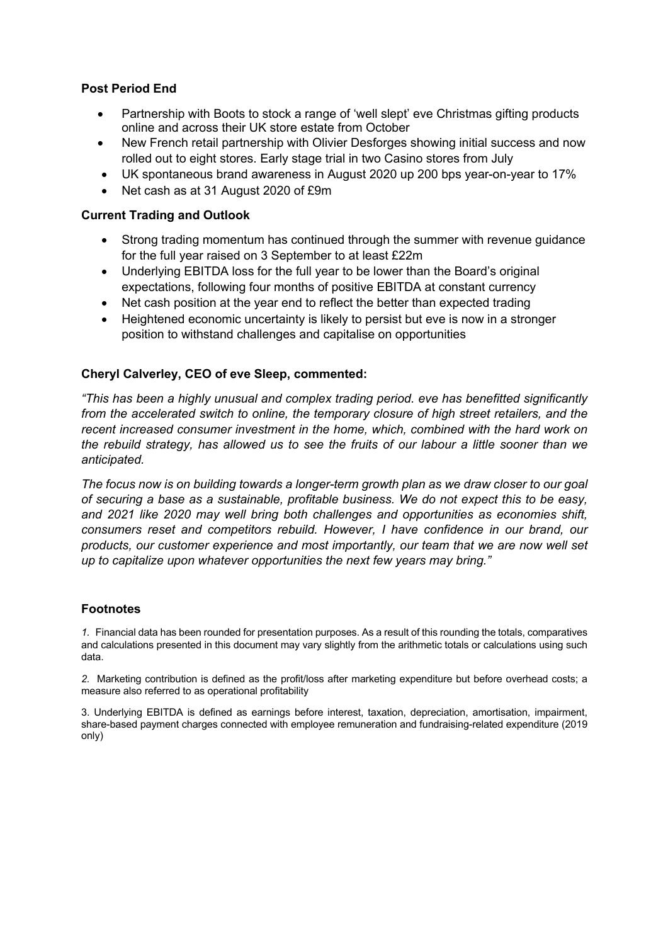# **Post Period End**

- Partnership with Boots to stock a range of 'well slept' eve Christmas gifting products online and across their UK store estate from October
- New French retail partnership with Olivier Desforges showing initial success and now rolled out to eight stores. Early stage trial in two Casino stores from July
- UK spontaneous brand awareness in August 2020 up 200 bps year-on-year to 17%
- Net cash as at 31 August 2020 of £9m

# **Current Trading and Outlook**

- Strong trading momentum has continued through the summer with revenue guidance for the full year raised on 3 September to at least £22m
- Underlying EBITDA loss for the full year to be lower than the Board's original expectations, following four months of positive EBITDA at constant currency
- Net cash position at the year end to reflect the better than expected trading
- Heightened economic uncertainty is likely to persist but eve is now in a stronger position to withstand challenges and capitalise on opportunities

## **Cheryl Calverley, CEO of eve Sleep, commented:**

*"This has been a highly unusual and complex trading period. eve has benefitted significantly from the accelerated switch to online, the temporary closure of high street retailers, and the recent increased consumer investment in the home, which, combined with the hard work on the rebuild strategy, has allowed us to see the fruits of our labour a little sooner than we anticipated.* 

*The focus now is on building towards a longer-term growth plan as we draw closer to our goal of securing a base as a sustainable, profitable business. We do not expect this to be easy, and 2021 like 2020 may well bring both challenges and opportunities as economies shift, consumers reset and competitors rebuild. However, I have confidence in our brand, our products, our customer experience and most importantly, our team that we are now well set up to capitalize upon whatever opportunities the next few years may bring."*

## **Footnotes**

*1.* Financial data has been rounded for presentation purposes. As a result of this rounding the totals, comparatives and calculations presented in this document may vary slightly from the arithmetic totals or calculations using such data.

*2.* Marketing contribution is defined as the profit/loss after marketing expenditure but before overhead costs; a measure also referred to as operational profitability

3. Underlying EBITDA is defined as earnings before interest, taxation, depreciation, amortisation, impairment, share-based payment charges connected with employee remuneration and fundraising-related expenditure (2019 only)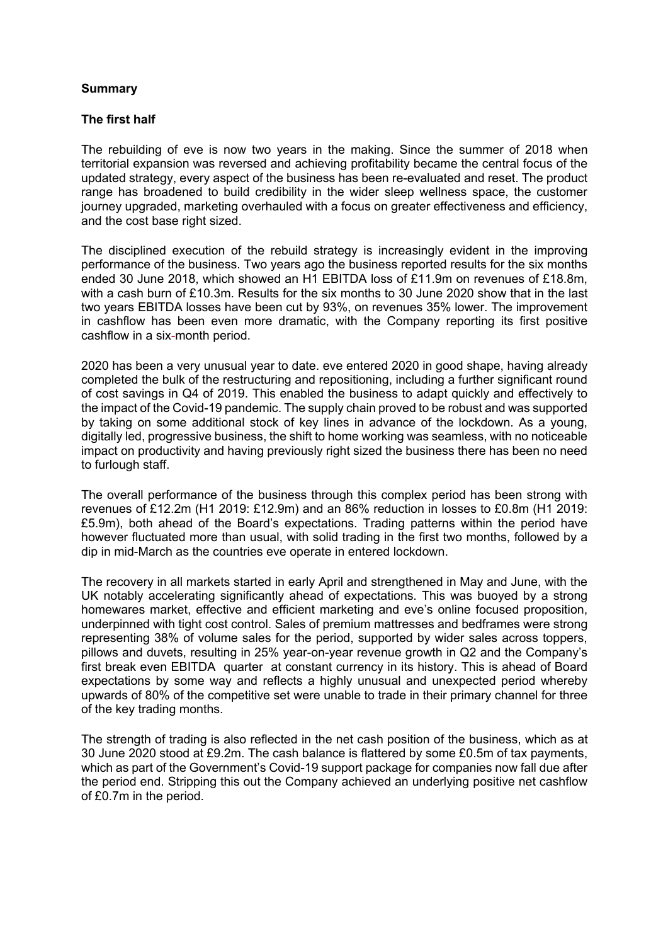### **Summary**

### **The first half**

The rebuilding of eve is now two years in the making. Since the summer of 2018 when territorial expansion was reversed and achieving profitability became the central focus of the updated strategy, every aspect of the business has been re-evaluated and reset. The product range has broadened to build credibility in the wider sleep wellness space, the customer journey upgraded, marketing overhauled with a focus on greater effectiveness and efficiency, and the cost base right sized.

The disciplined execution of the rebuild strategy is increasingly evident in the improving performance of the business. Two years ago the business reported results for the six months ended 30 June 2018, which showed an H1 EBITDA loss of £11.9m on revenues of £18.8m, with a cash burn of £10.3m. Results for the six months to 30 June 2020 show that in the last two years EBITDA losses have been cut by 93%, on revenues 35% lower. The improvement in cashflow has been even more dramatic, with the Company reporting its first positive cashflow in a six-month period.

2020 has been a very unusual year to date. eve entered 2020 in good shape, having already completed the bulk of the restructuring and repositioning, including a further significant round of cost savings in Q4 of 2019. This enabled the business to adapt quickly and effectively to the impact of the Covid-19 pandemic. The supply chain proved to be robust and was supported by taking on some additional stock of key lines in advance of the lockdown. As a young, digitally led, progressive business, the shift to home working was seamless, with no noticeable impact on productivity and having previously right sized the business there has been no need to furlough staff.

The overall performance of the business through this complex period has been strong with revenues of £12.2m (H1 2019: £12.9m) and an 86% reduction in losses to £0.8m (H1 2019: £5.9m), both ahead of the Board's expectations. Trading patterns within the period have however fluctuated more than usual, with solid trading in the first two months, followed by a dip in mid-March as the countries eve operate in entered lockdown.

The recovery in all markets started in early April and strengthened in May and June, with the UK notably accelerating significantly ahead of expectations. This was buoyed by a strong homewares market, effective and efficient marketing and eve's online focused proposition, underpinned with tight cost control. Sales of premium mattresses and bedframes were strong representing 38% of volume sales for the period, supported by wider sales across toppers, pillows and duvets, resulting in 25% year-on-year revenue growth in Q2 and the Company's first break even EBITDA quarter at constant currency in its history. This is ahead of Board expectations by some way and reflects a highly unusual and unexpected period whereby upwards of 80% of the competitive set were unable to trade in their primary channel for three of the key trading months.

The strength of trading is also reflected in the net cash position of the business, which as at 30 June 2020 stood at £9.2m. The cash balance is flattered by some £0.5m of tax payments, which as part of the Government's Covid-19 support package for companies now fall due after the period end. Stripping this out the Company achieved an underlying positive net cashflow of £0.7m in the period.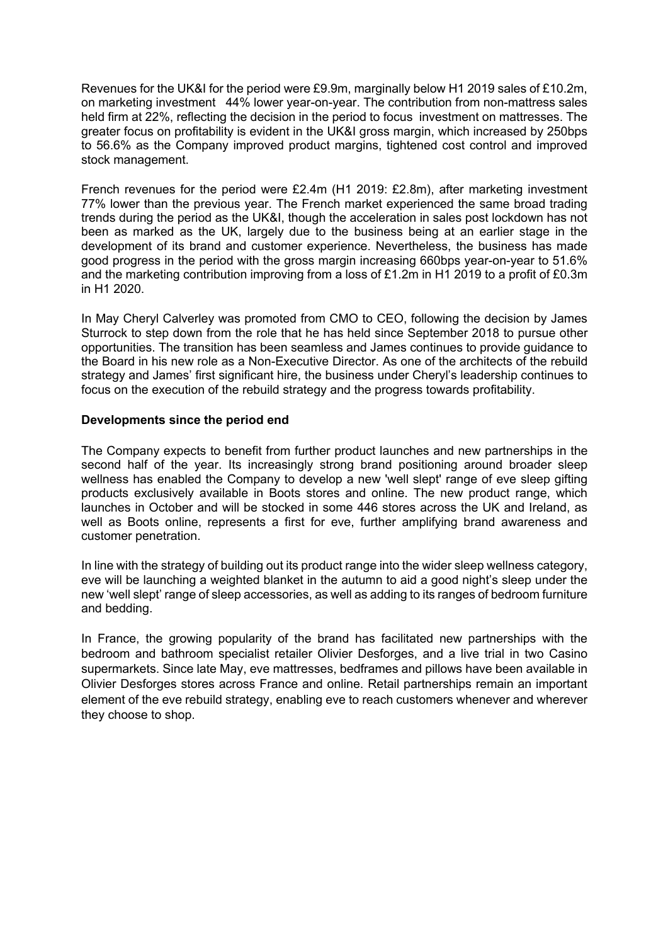Revenues for the UK&I for the period were £9.9m, marginally below H1 2019 sales of £10.2m, on marketing investment 44% lower year-on-year. The contribution from non-mattress sales held firm at 22%, reflecting the decision in the period to focus investment on mattresses. The greater focus on profitability is evident in the UK&I gross margin, which increased by 250bps to 56.6% as the Company improved product margins, tightened cost control and improved stock management.

French revenues for the period were £2.4m (H1 2019: £2.8m), after marketing investment 77% lower than the previous year. The French market experienced the same broad trading trends during the period as the UK&I, though the acceleration in sales post lockdown has not been as marked as the UK, largely due to the business being at an earlier stage in the development of its brand and customer experience. Nevertheless, the business has made good progress in the period with the gross margin increasing 660bps year-on-year to 51.6% and the marketing contribution improving from a loss of £1.2m in H1 2019 to a profit of £0.3m in H1 2020.

In May Cheryl Calverley was promoted from CMO to CEO, following the decision by James Sturrock to step down from the role that he has held since September 2018 to pursue other opportunities. The transition has been seamless and James continues to provide guidance to the Board in his new role as a Non-Executive Director. As one of the architects of the rebuild strategy and James' first significant hire, the business under Cheryl's leadership continues to focus on the execution of the rebuild strategy and the progress towards profitability.

### **Developments since the period end**

The Company expects to benefit from further product launches and new partnerships in the second half of the year. Its increasingly strong brand positioning around broader sleep wellness has enabled the Company to develop a new 'well slept' range of eve sleep gifting products exclusively available in Boots stores and online. The new product range, which launches in October and will be stocked in some 446 stores across the UK and Ireland, as well as Boots online, represents a first for eve, further amplifying brand awareness and customer penetration.

In line with the strategy of building out its product range into the wider sleep wellness category, eve will be launching a weighted blanket in the autumn to aid a good night's sleep under the new 'well slept' range of sleep accessories, as well as adding to its ranges of bedroom furniture and bedding.

In France, the growing popularity of the brand has facilitated new partnerships with the bedroom and bathroom specialist retailer Olivier Desforges, and a live trial in two Casino supermarkets. Since late May, eve mattresses, bedframes and pillows have been available in Olivier Desforges stores across France and online. Retail partnerships remain an important element of the eve rebuild strategy, enabling eve to reach customers whenever and wherever they choose to shop.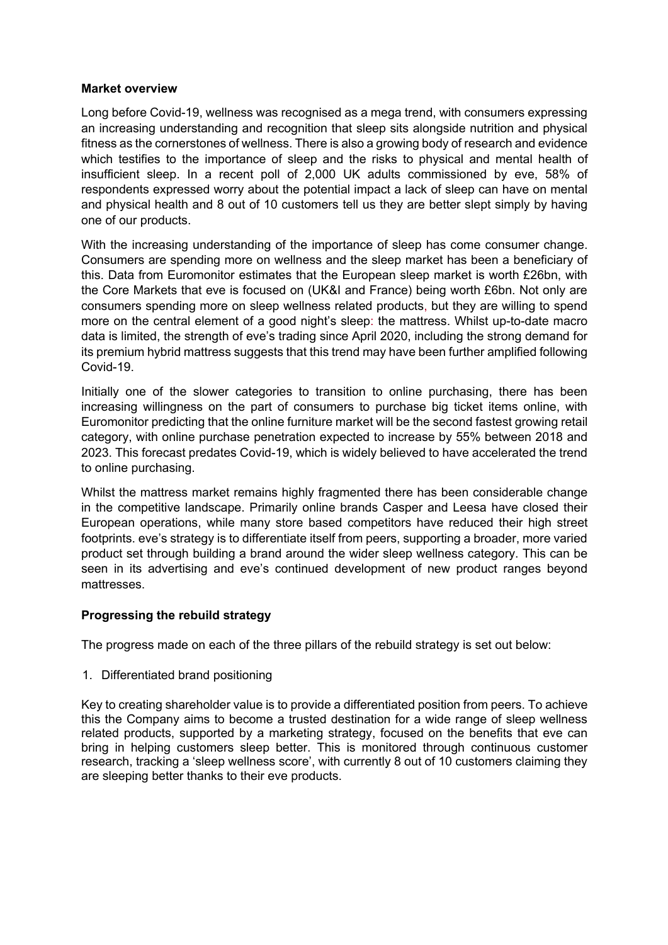### **Market overview**

Long before Covid-19, wellness was recognised as a mega trend, with consumers expressing an increasing understanding and recognition that sleep sits alongside nutrition and physical fitness as the cornerstones of wellness. There is also a growing body of research and evidence which testifies to the importance of sleep and the risks to physical and mental health of insufficient sleep. In a recent poll of 2,000 UK adults commissioned by eve, 58% of respondents expressed worry about the potential impact a lack of sleep can have on mental and physical health and 8 out of 10 customers tell us they are better slept simply by having one of our products.

With the increasing understanding of the importance of sleep has come consumer change. Consumers are spending more on wellness and the sleep market has been a beneficiary of this. Data from Euromonitor estimates that the European sleep market is worth £26bn, with the Core Markets that eve is focused on (UK&I and France) being worth £6bn. Not only are consumers spending more on sleep wellness related products, but they are willing to spend more on the central element of a good night's sleep: the mattress. Whilst up-to-date macro data is limited, the strength of eve's trading since April 2020, including the strong demand for its premium hybrid mattress suggests that this trend may have been further amplified following Covid-19.

Initially one of the slower categories to transition to online purchasing, there has been increasing willingness on the part of consumers to purchase big ticket items online, with Euromonitor predicting that the online furniture market will be the second fastest growing retail category, with online purchase penetration expected to increase by 55% between 2018 and 2023. This forecast predates Covid-19, which is widely believed to have accelerated the trend to online purchasing.

Whilst the mattress market remains highly fragmented there has been considerable change in the competitive landscape. Primarily online brands Casper and Leesa have closed their European operations, while many store based competitors have reduced their high street footprints. eve's strategy is to differentiate itself from peers, supporting a broader, more varied product set through building a brand around the wider sleep wellness category. This can be seen in its advertising and eve's continued development of new product ranges beyond mattresses.

## **Progressing the rebuild strategy**

The progress made on each of the three pillars of the rebuild strategy is set out below:

1. Differentiated brand positioning

Key to creating shareholder value is to provide a differentiated position from peers. To achieve this the Company aims to become a trusted destination for a wide range of sleep wellness related products, supported by a marketing strategy, focused on the benefits that eve can bring in helping customers sleep better. This is monitored through continuous customer research, tracking a 'sleep wellness score', with currently 8 out of 10 customers claiming they are sleeping better thanks to their eve products.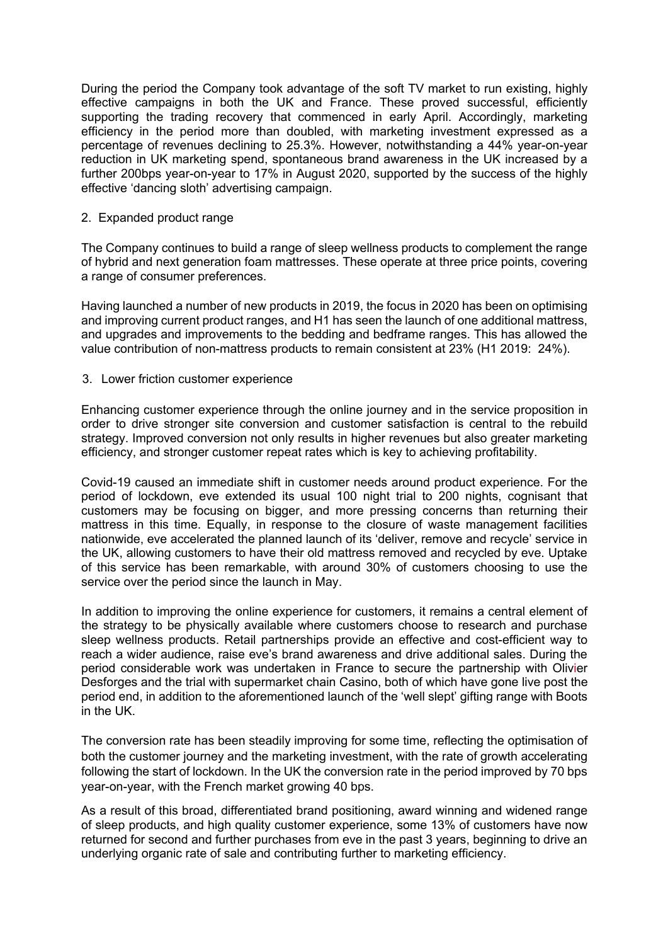During the period the Company took advantage of the soft TV market to run existing, highly effective campaigns in both the UK and France. These proved successful, efficiently supporting the trading recovery that commenced in early April. Accordingly, marketing efficiency in the period more than doubled, with marketing investment expressed as a percentage of revenues declining to 25.3%. However, notwithstanding a 44% year-on-year reduction in UK marketing spend, spontaneous brand awareness in the UK increased by a further 200bps year-on-year to 17% in August 2020, supported by the success of the highly effective 'dancing sloth' advertising campaign.

### 2. Expanded product range

The Company continues to build a range of sleep wellness products to complement the range of hybrid and next generation foam mattresses. These operate at three price points, covering a range of consumer preferences.

Having launched a number of new products in 2019, the focus in 2020 has been on optimising and improving current product ranges, and H1 has seen the launch of one additional mattress, and upgrades and improvements to the bedding and bedframe ranges. This has allowed the value contribution of non-mattress products to remain consistent at 23% (H1 2019: 24%).

### 3. Lower friction customer experience

Enhancing customer experience through the online journey and in the service proposition in order to drive stronger site conversion and customer satisfaction is central to the rebuild strategy. Improved conversion not only results in higher revenues but also greater marketing efficiency, and stronger customer repeat rates which is key to achieving profitability.

Covid-19 caused an immediate shift in customer needs around product experience. For the period of lockdown, eve extended its usual 100 night trial to 200 nights, cognisant that customers may be focusing on bigger, and more pressing concerns than returning their mattress in this time. Equally, in response to the closure of waste management facilities nationwide, eve accelerated the planned launch of its 'deliver, remove and recycle' service in the UK, allowing customers to have their old mattress removed and recycled by eve. Uptake of this service has been remarkable, with around 30% of customers choosing to use the service over the period since the launch in May.

In addition to improving the online experience for customers, it remains a central element of the strategy to be physically available where customers choose to research and purchase sleep wellness products. Retail partnerships provide an effective and cost-efficient way to reach a wider audience, raise eve's brand awareness and drive additional sales. During the period considerable work was undertaken in France to secure the partnership with Olivier Desforges and the trial with supermarket chain Casino, both of which have gone live post the period end, in addition to the aforementioned launch of the 'well slept' gifting range with Boots in the UK.

The conversion rate has been steadily improving for some time, reflecting the optimisation of both the customer journey and the marketing investment, with the rate of growth accelerating following the start of lockdown. In the UK the conversion rate in the period improved by 70 bps year-on-year, with the French market growing 40 bps.

As a result of this broad, differentiated brand positioning, award winning and widened range of sleep products, and high quality customer experience, some 13% of customers have now returned for second and further purchases from eve in the past 3 years, beginning to drive an underlying organic rate of sale and contributing further to marketing efficiency.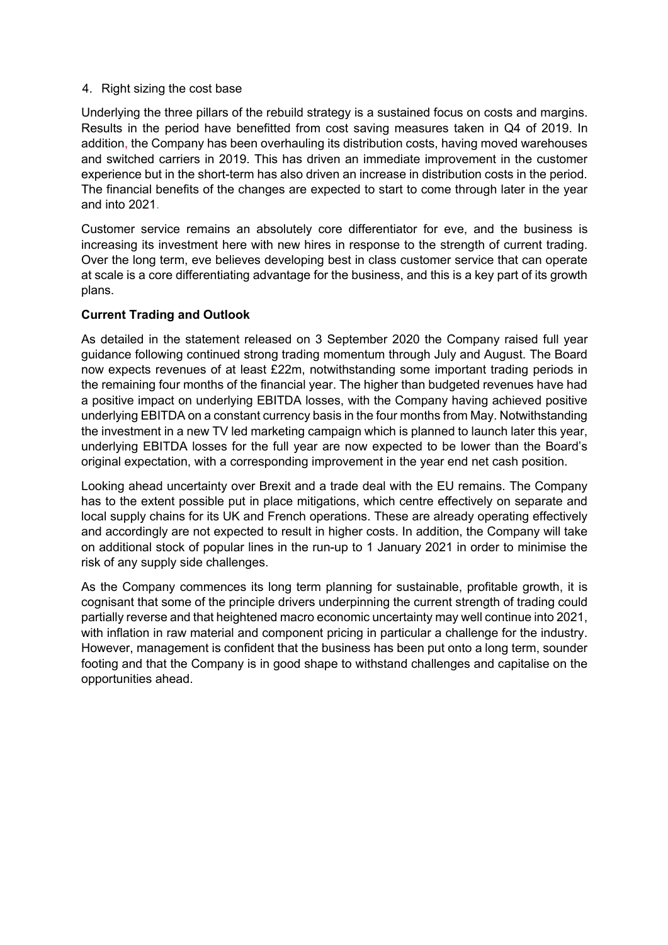### 4. Right sizing the cost base

Underlying the three pillars of the rebuild strategy is a sustained focus on costs and margins. Results in the period have benefitted from cost saving measures taken in Q4 of 2019. In addition, the Company has been overhauling its distribution costs, having moved warehouses and switched carriers in 2019. This has driven an immediate improvement in the customer experience but in the short-term has also driven an increase in distribution costs in the period. The financial benefits of the changes are expected to start to come through later in the year and into 2021.

Customer service remains an absolutely core differentiator for eve, and the business is increasing its investment here with new hires in response to the strength of current trading. Over the long term, eve believes developing best in class customer service that can operate at scale is a core differentiating advantage for the business, and this is a key part of its growth plans.

## **Current Trading and Outlook**

As detailed in the statement released on 3 September 2020 the Company raised full year guidance following continued strong trading momentum through July and August. The Board now expects revenues of at least £22m, notwithstanding some important trading periods in the remaining four months of the financial year. The higher than budgeted revenues have had a positive impact on underlying EBITDA losses, with the Company having achieved positive underlying EBITDA on a constant currency basis in the four months from May. Notwithstanding the investment in a new TV led marketing campaign which is planned to launch later this year, underlying EBITDA losses for the full year are now expected to be lower than the Board's original expectation, with a corresponding improvement in the year end net cash position.

Looking ahead uncertainty over Brexit and a trade deal with the EU remains. The Company has to the extent possible put in place mitigations, which centre effectively on separate and local supply chains for its UK and French operations. These are already operating effectively and accordingly are not expected to result in higher costs. In addition, the Company will take on additional stock of popular lines in the run-up to 1 January 2021 in order to minimise the risk of any supply side challenges.

As the Company commences its long term planning for sustainable, profitable growth, it is cognisant that some of the principle drivers underpinning the current strength of trading could partially reverse and that heightened macro economic uncertainty may well continue into 2021, with inflation in raw material and component pricing in particular a challenge for the industry. However, management is confident that the business has been put onto a long term, sounder footing and that the Company is in good shape to withstand challenges and capitalise on the opportunities ahead.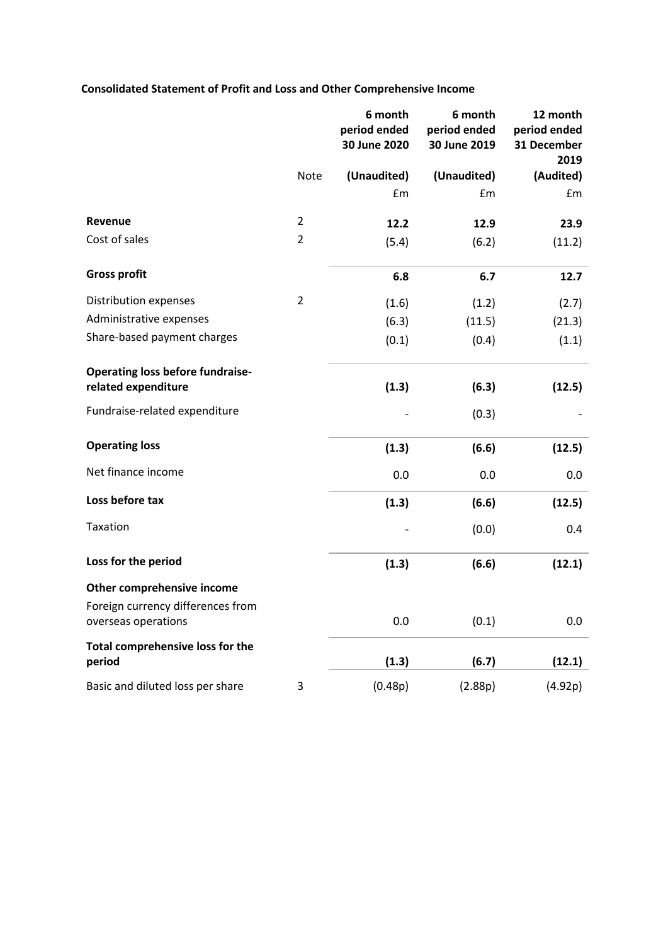# **Consolidated Statement of Profit and Loss and Other Comprehensive Income**

|                                                                |                | 6 month<br>period ended<br>30 June 2020 | 6 month<br>period ended<br>30 June 2019 | 12 month<br>period ended<br>31 December<br>2019 |
|----------------------------------------------------------------|----------------|-----------------------------------------|-----------------------------------------|-------------------------------------------------|
|                                                                | Note           | (Unaudited)                             | (Unaudited)                             | (Audited)                                       |
|                                                                |                | £m                                      | £m                                      | £m                                              |
| Revenue                                                        | $\overline{2}$ | 12.2                                    | 12.9                                    | 23.9                                            |
| Cost of sales                                                  | $\overline{2}$ | (5.4)                                   | (6.2)                                   | (11.2)                                          |
| <b>Gross profit</b>                                            |                | 6.8                                     | 6.7                                     | 12.7                                            |
| Distribution expenses                                          | $\overline{2}$ | (1.6)                                   | (1.2)                                   | (2.7)                                           |
| Administrative expenses                                        |                | (6.3)                                   | (11.5)                                  | (21.3)                                          |
| Share-based payment charges                                    |                | (0.1)                                   | (0.4)                                   | (1.1)                                           |
| <b>Operating loss before fundraise-</b><br>related expenditure |                | (1.3)                                   | (6.3)                                   | (12.5)                                          |
| Fundraise-related expenditure                                  |                |                                         | (0.3)                                   |                                                 |
| <b>Operating loss</b>                                          |                | (1.3)                                   | (6.6)                                   | (12.5)                                          |
| Net finance income                                             |                | 0.0                                     | 0.0                                     | 0.0                                             |
| Loss before tax                                                |                | (1.3)                                   | (6.6)                                   | (12.5)                                          |
| Taxation                                                       |                |                                         | (0.0)                                   | 0.4                                             |
| Loss for the period                                            |                | (1.3)                                   | (6.6)                                   | (12.1)                                          |
| Other comprehensive income                                     |                |                                         |                                         |                                                 |
| Foreign currency differences from<br>overseas operations       |                | 0.0                                     | (0.1)                                   | 0.0                                             |
| Total comprehensive loss for the<br>period                     |                | (1.3)                                   | (6.7)                                   | (12.1)                                          |
| Basic and diluted loss per share                               | 3              | (0.48p)                                 | (2.88p)                                 | (4.92p)                                         |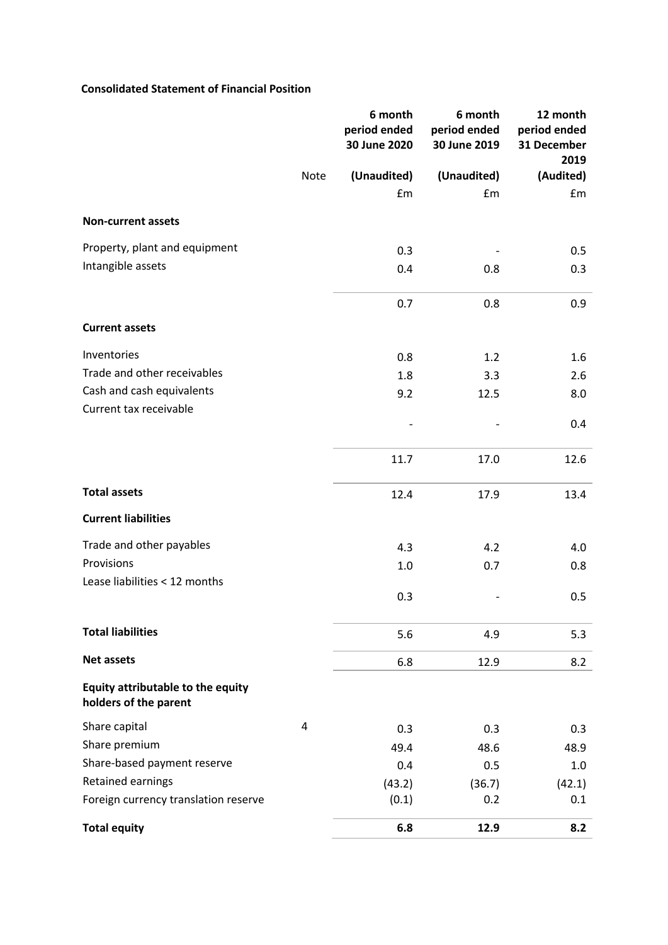### **Consolidated Statement of Financial Position**

|                                                            |      | 6 month<br>period ended<br>30 June 2020 | 6 month<br>period ended<br>30 June 2019 | 12 month<br>period ended<br>31 December<br>2019 |
|------------------------------------------------------------|------|-----------------------------------------|-----------------------------------------|-------------------------------------------------|
|                                                            | Note | (Unaudited)                             | (Unaudited)                             | (Audited)                                       |
|                                                            |      | £m                                      | £m                                      | £m                                              |
| <b>Non-current assets</b>                                  |      |                                         |                                         |                                                 |
| Property, plant and equipment                              |      | 0.3                                     |                                         | 0.5                                             |
| Intangible assets                                          |      | 0.4                                     | 0.8                                     | 0.3                                             |
|                                                            |      | 0.7                                     | 0.8                                     | 0.9                                             |
| <b>Current assets</b>                                      |      |                                         |                                         |                                                 |
| Inventories                                                |      | 0.8                                     | 1.2                                     | 1.6                                             |
| Trade and other receivables                                |      | 1.8                                     | 3.3                                     | 2.6                                             |
| Cash and cash equivalents                                  |      | 9.2                                     | 12.5                                    | 8.0                                             |
| Current tax receivable                                     |      |                                         |                                         | 0.4                                             |
|                                                            |      | 11.7                                    | 17.0                                    | 12.6                                            |
| <b>Total assets</b>                                        |      | 12.4                                    | 17.9                                    | 13.4                                            |
| <b>Current liabilities</b>                                 |      |                                         |                                         |                                                 |
| Trade and other payables                                   |      | 4.3                                     | 4.2                                     | 4.0                                             |
| Provisions                                                 |      | 1.0                                     | 0.7                                     | 0.8                                             |
| Lease liabilities < 12 months                              |      | 0.3                                     |                                         | 0.5                                             |
| <b>Total liabilities</b>                                   |      | 5.6                                     | 4.9                                     | 5.3                                             |
| <b>Net assets</b>                                          |      | 6.8                                     | 12.9                                    | 8.2                                             |
| Equity attributable to the equity<br>holders of the parent |      |                                         |                                         |                                                 |
| Share capital                                              | 4    | 0.3                                     | 0.3                                     | 0.3                                             |
| Share premium                                              |      | 49.4                                    | 48.6                                    | 48.9                                            |
| Share-based payment reserve                                |      | 0.4                                     | 0.5                                     | 1.0                                             |
| Retained earnings                                          |      | (43.2)                                  | (36.7)                                  | (42.1)                                          |
| Foreign currency translation reserve                       |      | (0.1)                                   | 0.2                                     | 0.1                                             |
| <b>Total equity</b>                                        |      | 6.8                                     | 12.9                                    | 8.2                                             |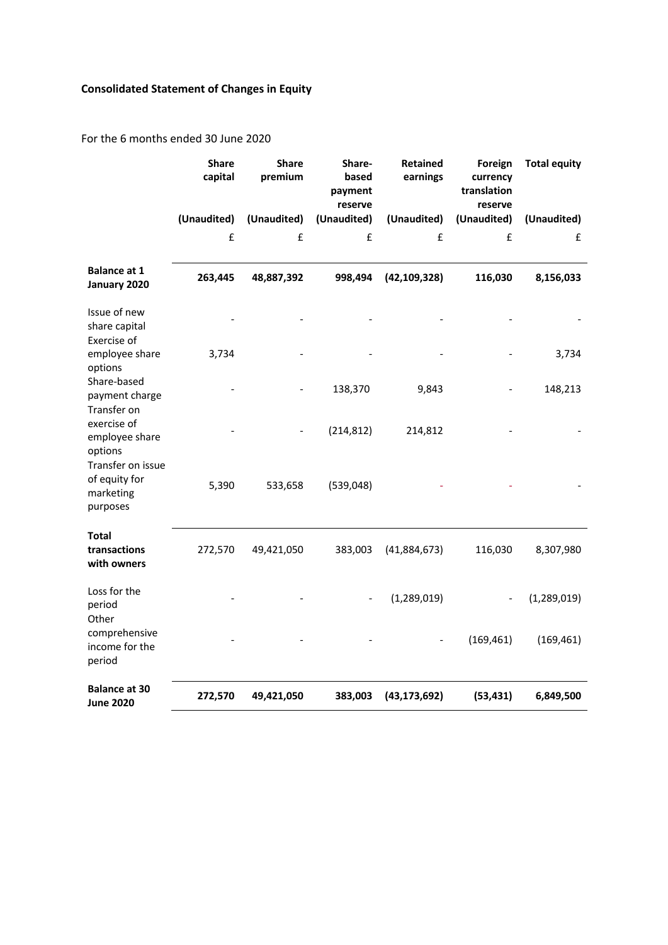# **Consolidated Statement of Changes in Equity**

For the 6 months ended 30 June 2020

|                                                             | <b>Share</b><br>capital | <b>Share</b><br>premium | Share-<br>based<br>payment<br>reserve | Retained<br>earnings | Foreign<br>currency<br>translation<br>reserve | <b>Total equity</b> |
|-------------------------------------------------------------|-------------------------|-------------------------|---------------------------------------|----------------------|-----------------------------------------------|---------------------|
|                                                             | (Unaudited)             | (Unaudited)             | (Unaudited)                           | (Unaudited)          | (Unaudited)                                   | (Unaudited)         |
|                                                             | £                       | £                       | £                                     | £                    | £                                             | £                   |
| <b>Balance at 1</b><br>January 2020                         | 263,445                 | 48,887,392              | 998,494                               | (42, 109, 328)       | 116,030                                       | 8,156,033           |
| Issue of new<br>share capital<br>Exercise of                |                         |                         |                                       |                      |                                               |                     |
| employee share<br>options                                   | 3,734                   |                         |                                       |                      |                                               | 3,734               |
| Share-based<br>payment charge<br>Transfer on                |                         |                         | 138,370                               | 9,843                |                                               | 148,213             |
| exercise of<br>employee share<br>options                    |                         |                         | (214, 812)                            | 214,812              |                                               |                     |
| Transfer on issue<br>of equity for<br>marketing<br>purposes | 5,390                   | 533,658                 | (539,048)                             |                      |                                               |                     |
| <b>Total</b><br>transactions<br>with owners                 | 272,570                 | 49,421,050              | 383,003                               | (41,884,673)         | 116,030                                       | 8,307,980           |
| Loss for the<br>period<br>Other                             |                         |                         |                                       | (1, 289, 019)        |                                               | (1, 289, 019)       |
| comprehensive<br>income for the<br>period                   |                         |                         |                                       |                      | (169, 461)                                    | (169, 461)          |
| <b>Balance at 30</b><br><b>June 2020</b>                    | 272,570                 | 49,421,050              | 383,003                               | (43, 173, 692)       | (53, 431)                                     | 6,849,500           |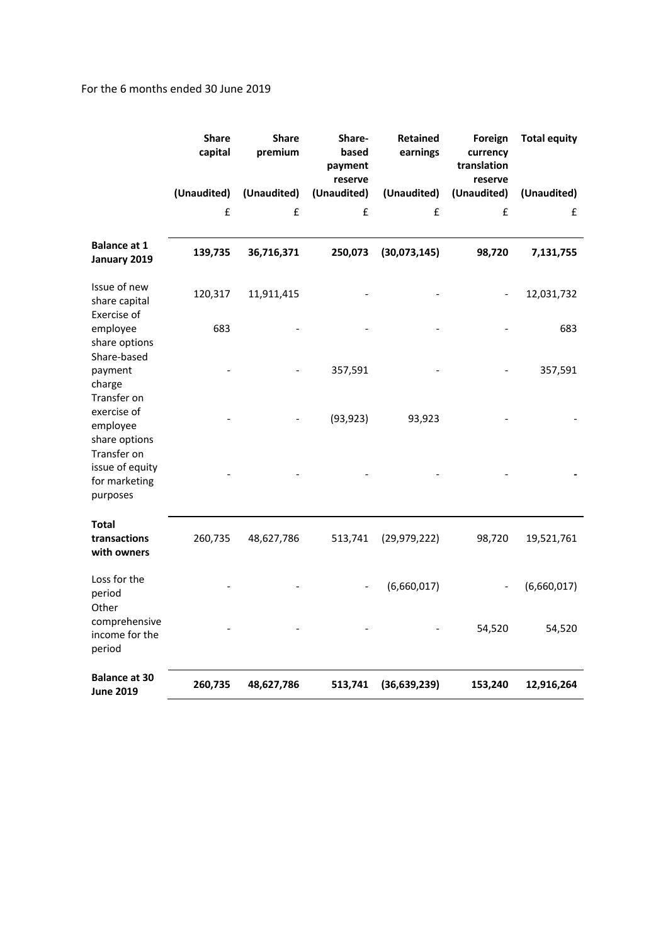### For the 6 months ended 30 June 2019

|                                                         | <b>Share</b><br>capital | <b>Share</b><br>premium | Share-<br>based<br>payment<br>reserve | Retained<br>earnings | Foreign<br>currency<br>translation<br>reserve | <b>Total equity</b> |
|---------------------------------------------------------|-------------------------|-------------------------|---------------------------------------|----------------------|-----------------------------------------------|---------------------|
|                                                         | (Unaudited)             | (Unaudited)             | (Unaudited)                           | (Unaudited)          | (Unaudited)                                   | (Unaudited)         |
|                                                         | £                       | £                       | £                                     | £                    | £                                             | £                   |
| <b>Balance at 1</b><br>January 2019                     | 139,735                 | 36,716,371              | 250,073                               | (30,073,145)         | 98,720                                        | 7,131,755           |
| Issue of new<br>share capital<br>Exercise of            | 120,317                 | 11,911,415              |                                       |                      |                                               | 12,031,732          |
| employee<br>share options<br>Share-based                | 683                     |                         |                                       |                      |                                               | 683                 |
| payment<br>charge<br>Transfer on                        |                         |                         | 357,591                               |                      |                                               | 357,591             |
| exercise of<br>employee<br>share options<br>Transfer on |                         |                         | (93, 923)                             | 93,923               |                                               |                     |
| issue of equity<br>for marketing<br>purposes            |                         |                         |                                       |                      |                                               |                     |
| <b>Total</b><br>transactions<br>with owners             | 260,735                 | 48,627,786              | 513,741                               | (29, 979, 222)       | 98,720                                        | 19,521,761          |
| Loss for the<br>period<br>Other                         |                         |                         |                                       | (6,660,017)          |                                               | (6,660,017)         |
| comprehensive<br>income for the<br>period               |                         |                         |                                       |                      | 54,520                                        | 54,520              |
| <b>Balance at 30</b><br><b>June 2019</b>                | 260,735                 | 48,627,786              | 513,741                               | (36, 639, 239)       | 153,240                                       | 12,916,264          |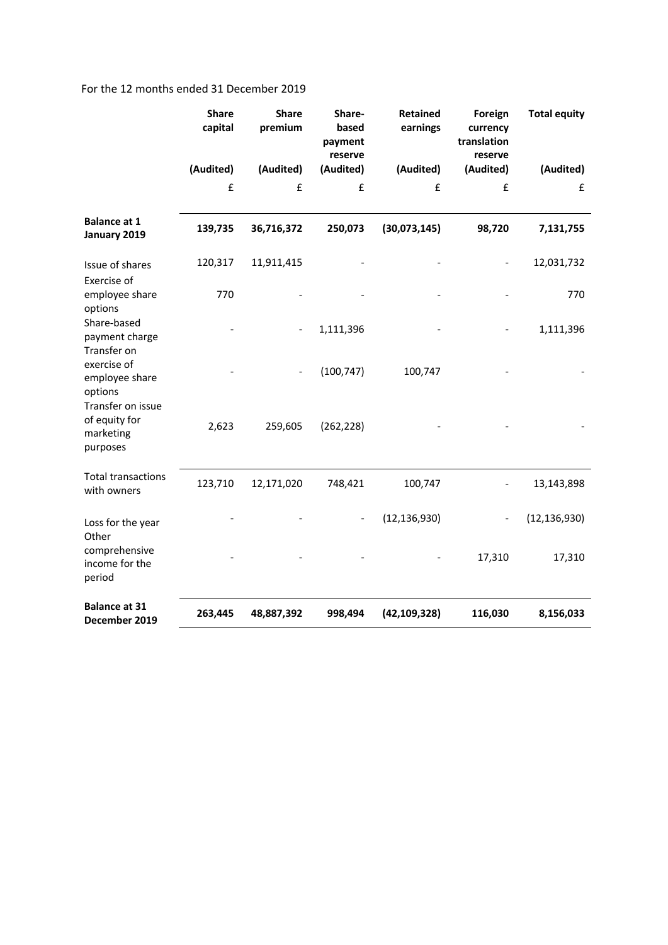### For the 12 months ended 31 December 2019

|                                                               | <b>Share</b><br>capital | <b>Share</b><br>premium | Share-<br>based<br>payment<br>reserve | <b>Retained</b><br>earnings | Foreign<br>currency<br>translation<br>reserve | <b>Total equity</b> |
|---------------------------------------------------------------|-------------------------|-------------------------|---------------------------------------|-----------------------------|-----------------------------------------------|---------------------|
|                                                               | (Audited)               | (Audited)               | (Audited)                             | (Audited)                   | (Audited)                                     | (Audited)           |
|                                                               | £                       | £                       | £                                     | £                           | £                                             | £                   |
| <b>Balance at 1</b><br>January 2019                           | 139,735                 | 36,716,372              | 250,073                               | (30,073,145)                | 98,720                                        | 7,131,755           |
| Issue of shares                                               | 120,317                 | 11,911,415              |                                       |                             |                                               | 12,031,732          |
| Exercise of<br>employee share<br>options                      | 770                     |                         |                                       |                             |                                               | 770                 |
| Share-based<br>payment charge<br>Transfer on                  |                         |                         | 1,111,396                             |                             |                                               | 1,111,396           |
| exercise of<br>employee share<br>options<br>Transfer on issue |                         |                         | (100, 747)                            | 100,747                     |                                               |                     |
| of equity for<br>marketing<br>purposes                        | 2,623                   | 259,605                 | (262, 228)                            |                             |                                               |                     |
| <b>Total transactions</b><br>with owners                      | 123,710                 | 12,171,020              | 748,421                               | 100,747                     |                                               | 13,143,898          |
| Loss for the year<br>Other                                    |                         |                         |                                       | (12, 136, 930)              |                                               | (12, 136, 930)      |
| comprehensive<br>income for the<br>period                     |                         |                         |                                       |                             | 17,310                                        | 17,310              |
| <b>Balance at 31</b><br>December 2019                         | 263,445                 | 48,887,392              | 998,494                               | (42, 109, 328)              | 116,030                                       | 8,156,033           |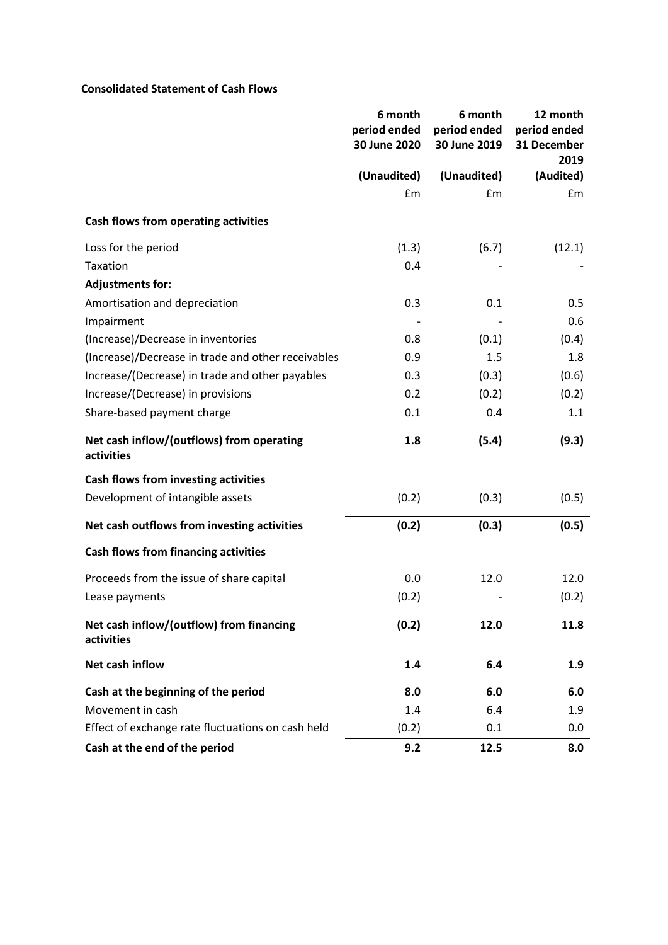### **Consolidated Statement of Cash Flows**

|                                                         | 6 month<br>period ended<br>30 June 2020 | 6 month<br>period ended<br>30 June 2019 | 12 month<br>period ended<br>31 December<br>2019 |
|---------------------------------------------------------|-----------------------------------------|-----------------------------------------|-------------------------------------------------|
|                                                         | (Unaudited)                             | (Unaudited)                             | (Audited)                                       |
|                                                         | £m                                      | £m                                      | £m                                              |
| Cash flows from operating activities                    |                                         |                                         |                                                 |
| Loss for the period                                     | (1.3)                                   | (6.7)                                   | (12.1)                                          |
| Taxation                                                | 0.4                                     |                                         |                                                 |
| <b>Adjustments for:</b>                                 |                                         |                                         |                                                 |
| Amortisation and depreciation                           | 0.3                                     | 0.1                                     | 0.5                                             |
| Impairment                                              |                                         |                                         | 0.6                                             |
| (Increase)/Decrease in inventories                      | 0.8                                     | (0.1)                                   | (0.4)                                           |
| (Increase)/Decrease in trade and other receivables      | 0.9                                     | 1.5                                     | 1.8                                             |
| Increase/(Decrease) in trade and other payables         | 0.3                                     | (0.3)                                   | (0.6)                                           |
| Increase/(Decrease) in provisions                       | 0.2                                     | (0.2)                                   | (0.2)                                           |
| Share-based payment charge                              | 0.1                                     | 0.4                                     | 1.1                                             |
| Net cash inflow/(outflows) from operating<br>activities | 1.8                                     | (5.4)                                   | (9.3)                                           |
| <b>Cash flows from investing activities</b>             |                                         |                                         |                                                 |
| Development of intangible assets                        | (0.2)                                   | (0.3)                                   | (0.5)                                           |
| Net cash outflows from investing activities             | (0.2)                                   | (0.3)                                   | (0.5)                                           |
| <b>Cash flows from financing activities</b>             |                                         |                                         |                                                 |
| Proceeds from the issue of share capital                | 0.0                                     | 12.0                                    | 12.0                                            |
| Lease payments                                          | (0.2)                                   |                                         | (0.2)                                           |
| Net cash inflow/(outflow) from financing<br>activities  | (0.2)                                   | 12.0                                    | 11.8                                            |
| Net cash inflow                                         | 1.4                                     | 6.4                                     | 1.9                                             |
| Cash at the beginning of the period                     | 8.0                                     | 6.0                                     | 6.0                                             |
| Movement in cash                                        | 1.4                                     | 6.4                                     | 1.9                                             |
| Effect of exchange rate fluctuations on cash held       | (0.2)                                   | 0.1                                     | 0.0                                             |
| Cash at the end of the period                           | 9.2                                     | 12.5                                    | 8.0                                             |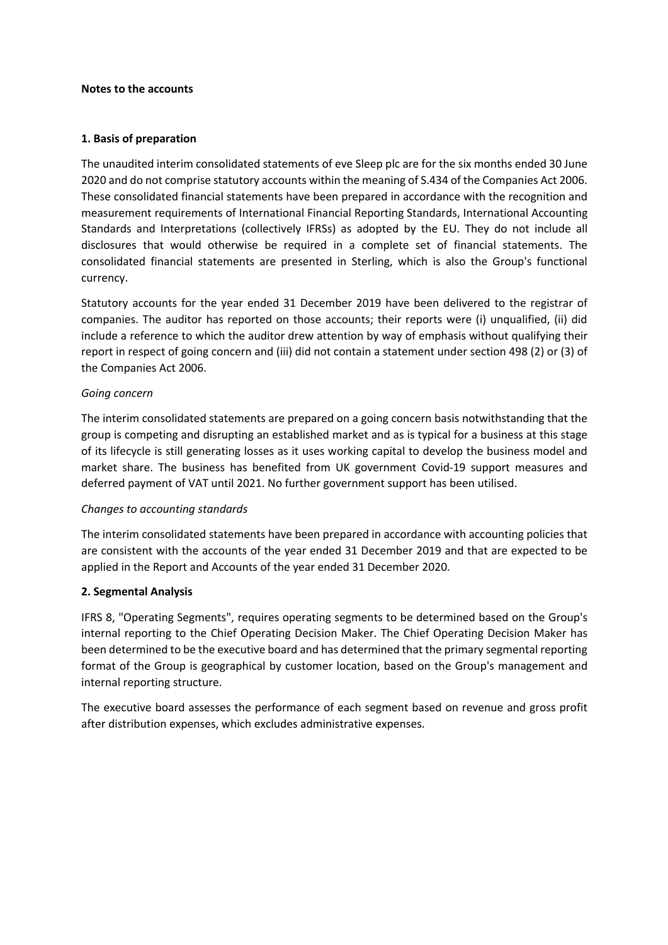#### **Notes to the accounts**

#### **1. Basis of preparation**

The unaudited interim consolidated statements of eve Sleep plc are for the six months ended 30 June 2020 and do not comprise statutory accounts within the meaning of S.434 of the Companies Act 2006. These consolidated financial statements have been prepared in accordance with the recognition and measurement requirements of International Financial Reporting Standards, International Accounting Standards and Interpretations (collectively IFRSs) as adopted by the EU. They do not include all disclosures that would otherwise be required in a complete set of financial statements. The consolidated financial statements are presented in Sterling, which is also the Group's functional currency.

Statutory accounts for the year ended 31 December 2019 have been delivered to the registrar of companies. The auditor has reported on those accounts; their reports were (i) unqualified, (ii) did include a reference to which the auditor drew attention by way of emphasis without qualifying their report in respect of going concern and (iii) did not contain a statement under section 498 (2) or (3) of the Companies Act 2006.

### *Going concern*

The interim consolidated statements are prepared on a going concern basis notwithstanding that the group is competing and disrupting an established market and as is typical for a business at this stage of its lifecycle is still generating losses as it uses working capital to develop the business model and market share. The business has benefited from UK government Covid-19 support measures and deferred payment of VAT until 2021. No further government support has been utilised.

### *Changes to accounting standards*

The interim consolidated statements have been prepared in accordance with accounting policies that are consistent with the accounts of the year ended 31 December 2019 and that are expected to be applied in the Report and Accounts of the year ended 31 December 2020.

### **2. Segmental Analysis**

IFRS 8, "Operating Segments", requires operating segments to be determined based on the Group's internal reporting to the Chief Operating Decision Maker. The Chief Operating Decision Maker has been determined to be the executive board and has determined that the primary segmental reporting format of the Group is geographical by customer location, based on the Group's management and internal reporting structure.

The executive board assesses the performance of each segment based on revenue and gross profit after distribution expenses, which excludes administrative expenses.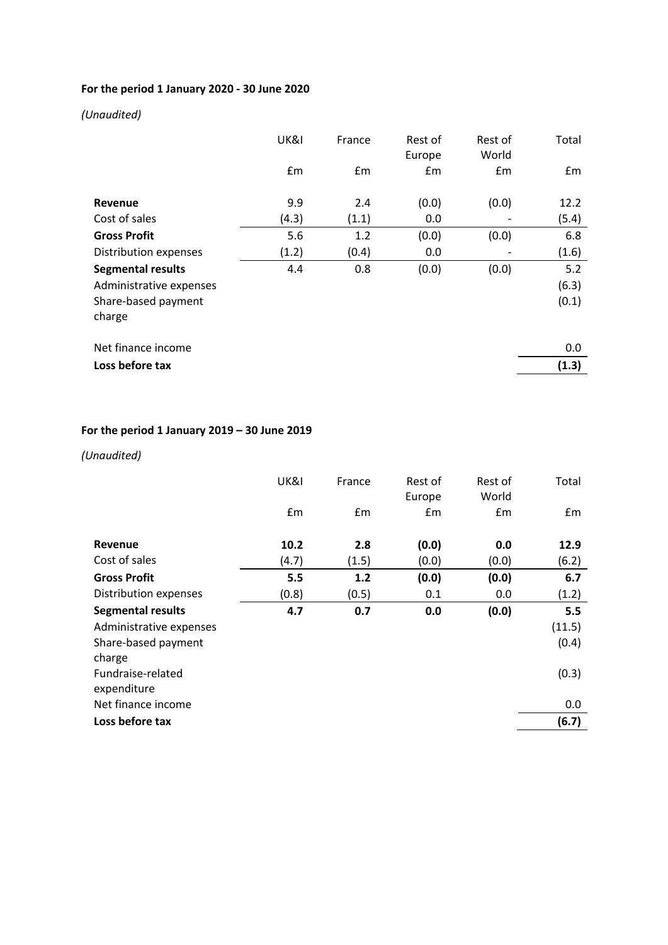# **For the period 1 January 2020 - 30 June 2020**

# *(Unaudited)*

|                          | UK&I  | France | Rest of<br>Europe | Rest of<br>World | Total         |
|--------------------------|-------|--------|-------------------|------------------|---------------|
|                          | £m    | Em     | £m                | £m               | $\mathsf{fm}$ |
| Revenue                  | 9.9   | 2.4    | (0.0)             | (0.0)            | 12.2          |
| Cost of sales            | (4.3) | (1.1)  | 0.0               |                  | (5.4)         |
| <b>Gross Profit</b>      | 5.6   | 1.2    | (0.0)             | (0.0)            | 6.8           |
| Distribution expenses    | (1.2) | (0.4)  | 0.0               |                  | (1.6)         |
| <b>Segmental results</b> | 4.4   | 0.8    | (0.0)             | (0.0)            | 5.2           |
| Administrative expenses  |       |        |                   |                  | (6.3)         |
| Share-based payment      |       |        |                   |                  | (0.1)         |
| charge                   |       |        |                   |                  |               |
| Net finance income       |       |        |                   |                  | 0.0           |
| Loss before tax          |       |        |                   |                  | (1.3)         |

# **For the period 1 January 2019 – 30 June 2019**

# *(Unaudited)*

|                                  | UK&I  | France | Rest of<br>Europe | Rest of<br>World | Total  |
|----------------------------------|-------|--------|-------------------|------------------|--------|
|                                  | £m    | Em     | Em                | Em               | Em     |
| Revenue                          | 10.2  | 2.8    | (0.0)             | 0.0              | 12.9   |
| Cost of sales                    | (4.7) | (1.5)  | (0.0)             | (0.0)            | (6.2)  |
| <b>Gross Profit</b>              | 5.5   | 1.2    | (0.0)             | (0.0)            | 6.7    |
| Distribution expenses            | (0.8) | (0.5)  | 0.1               | 0.0              | (1.2)  |
| <b>Segmental results</b>         | 4.7   | 0.7    | 0.0               | (0.0)            | 5.5    |
| Administrative expenses          |       |        |                   |                  | (11.5) |
| Share-based payment<br>charge    |       |        |                   |                  | (0.4)  |
| Fundraise-related<br>expenditure |       |        |                   |                  | (0.3)  |
| Net finance income               |       |        |                   |                  | 0.0    |
| Loss before tax                  |       |        |                   |                  | (6.7)  |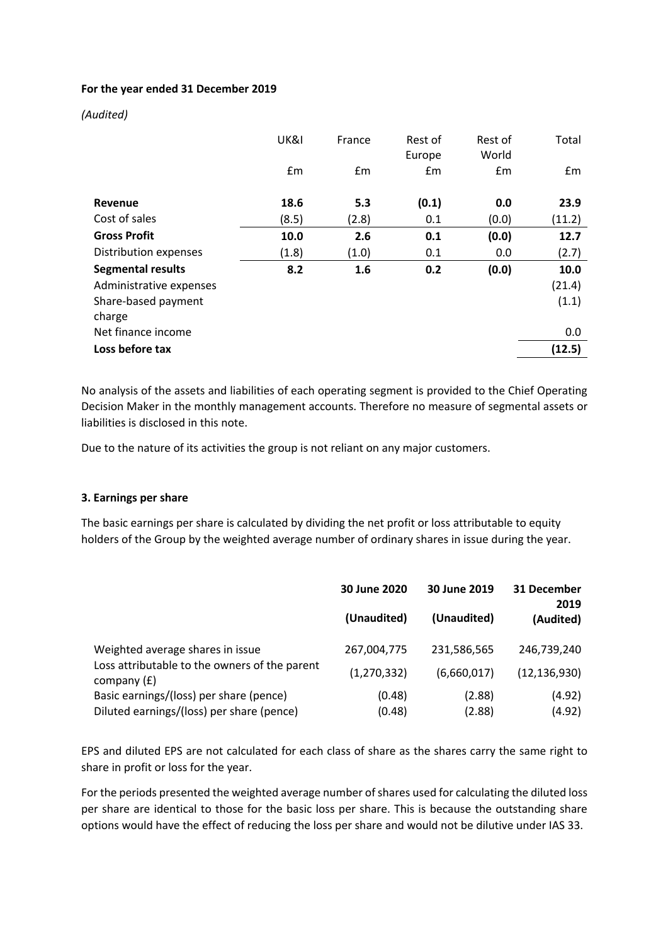### **For the year ended 31 December 2019**

### *(Audited)*

|                          | UK&I  | France | Rest of<br>Europe | Rest of<br>World | Total  |
|--------------------------|-------|--------|-------------------|------------------|--------|
|                          | £m    | £m     | Em                | Em               | Em     |
| Revenue                  | 18.6  | 5.3    | (0.1)             | 0.0              | 23.9   |
| Cost of sales            | (8.5) | (2.8)  | 0.1               | (0.0)            | (11.2) |
| <b>Gross Profit</b>      | 10.0  | 2.6    | 0.1               | (0.0)            | 12.7   |
| Distribution expenses    | (1.8) | (1.0)  | 0.1               | 0.0              | (2.7)  |
| <b>Segmental results</b> | 8.2   | 1.6    | 0.2               | (0.0)            | 10.0   |
| Administrative expenses  |       |        |                   |                  | (21.4) |
| Share-based payment      |       |        |                   |                  | (1.1)  |
| charge                   |       |        |                   |                  |        |
| Net finance income       |       |        |                   |                  | 0.0    |
| Loss before tax          |       |        |                   |                  | (12.5) |

No analysis of the assets and liabilities of each operating segment is provided to the Chief Operating Decision Maker in the monthly management accounts. Therefore no measure of segmental assets or liabilities is disclosed in this note.

Due to the nature of its activities the group is not reliant on any major customers.

### **3. Earnings per share**

The basic earnings per share is calculated by dividing the net profit or loss attributable to equity holders of the Group by the weighted average number of ordinary shares in issue during the year.

|                                                                | 30 June 2020  | 30 June 2019 | 31 December<br>2019 |  |
|----------------------------------------------------------------|---------------|--------------|---------------------|--|
|                                                                | (Unaudited)   | (Unaudited)  | (Audited)           |  |
| Weighted average shares in issue                               | 267,004,775   | 231,586,565  | 246,739,240         |  |
| Loss attributable to the owners of the parent<br>company $(E)$ | (1, 270, 332) | (6,660,017)  | (12, 136, 930)      |  |
| Basic earnings/(loss) per share (pence)                        | (0.48)        | (2.88)       | (4.92)              |  |
| Diluted earnings/(loss) per share (pence)                      | (0.48)        | (2.88)       | (4.92)              |  |

EPS and diluted EPS are not calculated for each class of share as the shares carry the same right to share in profit or loss for the year.

For the periods presented the weighted average number of shares used for calculating the diluted loss per share are identical to those for the basic loss per share. This is because the outstanding share options would have the effect of reducing the loss per share and would not be dilutive under IAS 33.